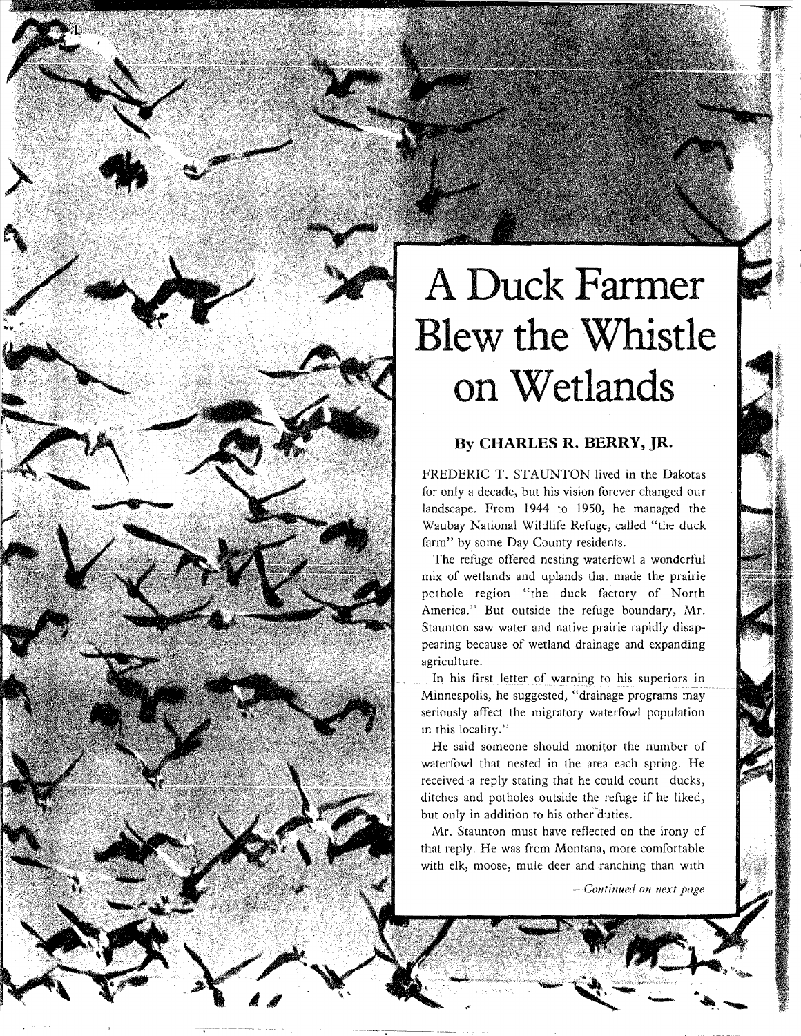## **A Duck Farmer Blew the Whistle on Wetlands**

## **By CHARLES R. BERRY, JR.**

FREDERIC T. STAUNTON lived in the Dakotas for only a decade, but his vision forever changed our landscape. From 1944 to 1950, he managed the Waubay National Wildlife Refuge, called "the duck farm" by some Day County residents.

The refuge offered nesting waterfowl a wonderful mix of wetlands and uplands that made the prairie pothole region "the duck factory of North America." But outside the refuge boundary, Mr. Staunton saw water and native prairie rapidly disappearing because of wetland drainage and expanding agriculture.

In his first letter of warning to his superiors in Minneapolis, he suggested, "drainage programs may seriously affect the migratory waterfowl population in this locality."

He said someone should monitor the number of waterfowl that nested in the area each spring. He received a reply stating that he could count ducks, ditches and potholes outside the refuge if he liked, but only in addition to his other duties.

Mr. Staunton must have reflected on the irony of that reply. He was from Montana, more comfortable with elk, moose, mule deer and ranching than with

 $\mathcal{M}$  . ... ... ...

*-Continued on next page*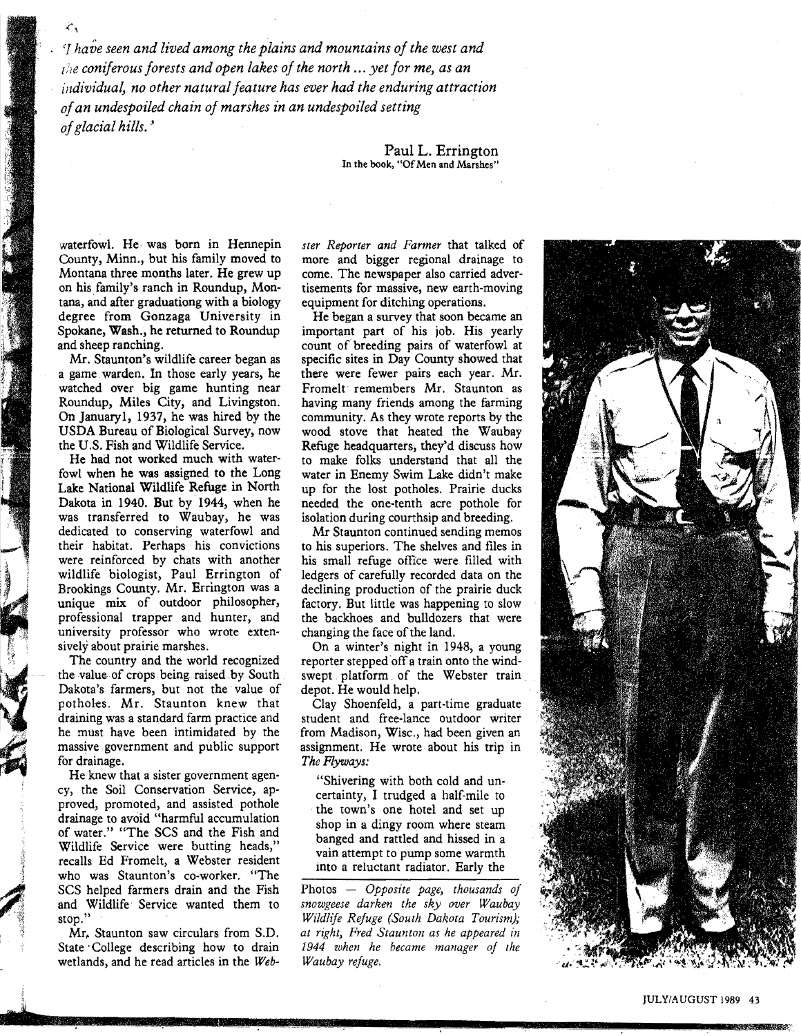'J *have seen and lived among the plains and mountains of the west and [he coniferous forests and open lakes of the north ... yet for me, as an individual, no other natural feature has ever had the enduring attraction ofan undespoiled chain of marshes in an undespoiled setting of glacial hills. '* 

> Paul L. Errington In the book, "Of Men and Marshes"

County, Minn., but his family moved to more and bigger regional drainage to Montana three months later. He grew up come. The newspaper also carried adveron his family's ranch in Roundup, Mon-<br>tisements for massive, new earth-moving<br>tana, and after graduationg with a biology<br>equipment for ditching operations. tana, and after graduationg with a biology<br>degree from Gonzaga University in Spokane, Wash., he returned to Roundup and sheep ranching.

 $\zeta_{\chi}$ 

a game warden. In those early years, he watched over big game hunting near Fromelt remembers Mr. Staunton as Roundup, Miles City, and Livingston. having many friends among the farming Roundup, Miles City, and Livingston. having many friends among the farming On January1, 1937, he was hired by the community. As they wrote reports by the On January1, 1937, he was hired by the USDA Bureau of Biological Survey, now

fowl when he was assigned to the Long water in Enemy Swim Lake didn't make Lake National Wildlife Refuge in North up for the lost potholes. Prairie ducks Lake National Wildlife Refuge in North up for the lost potholes. Prairie ducks Dakota in 1940. But by 1944, when he needed the one-tenth acre pothole for Dakota in 1940. But by 1944, when he needed the one-tenth acre pothole for was transferred to Waubay, he was isolation during courthsip and breeding. was transferred to Waubay, he was isolation during courthsip and breeding. dedicated to conserving waterfowl and Mr Staunton continued sending memos<br>their habitat. Perhaps his convictions to his superiors. The shelves and files in their habitat. Perhaps his convictions to his superiors. The shelves and files in were reinforced by chats with another his small refuge office were filled with were reinforced by chats with another wildlife biologist, Paul Errington of ledgers of carefully recorded data on the Brookings County. Mr. Errington was a declining production of the prairie duck unique mix of outdoor philosopher, factory. But little was happening to slow professional trapper and hunter, and the backhoes and bulldozers that were university professor who wrote exten-<br>sively about prairie marshes. On a winter's night in 19

The country and the world recognized reporter stepped off a train onto the wind-<br>the value of crops being raised by South swept platform of the Webster train Dakota's farmers, but not the value of potholes. Mr. Staunton knew that Clay Shoenfeld, a part-time graduate \, draining was a standard farm practice and student and free-lance outdoor writer he must have been intimidated by the from Madison, Wisc., had been given an massive government and public support assignment. He wrote about his trip in massive government and public support assignment. He wrote about his trip in for drainage. The Flyways:

Si

7

He knew that a sister government agen-<br>
extending with both cold and un-<br>
certainty I trudged a half mile to<br>
certainty I trudged a half mile to cy, the Soil Conservation Service, ap-<br>
proved, promoted, and assisted pothole<br>
drainage to avoid "harmful accumulation<br>
of water." "The SCS and the Fish and<br>
Wildlife Service were butting heads,"<br>
recalls Ed Fromelt, a We recalls Ed Fromelt, a Webster resident<br>who was Staunton's co-worker. "The SCS helped farmers drain and the Fish Photos — Opposite page, thousands of and Wildlife Service wanted them to *snowgeese darken the sky over Waubay* 

wetlands, and he read articles in the *Web- Waubay refuge.* 

waterfowl. He was born in Hennepin *ster Reporter and Farmer* that talked of County, Minn., but his family moved to more and bigger regional drainage to

He began a survey that soon became an important part of his job. His yearly d sheep ranching.<br>
Mr. Staunton's wildlife career began as specific sites in Day County showed that specific sites in Day County showed that<br>there were fewer pairs each year. Mr. USDA Bureau of Biological Survey, now wood stove that heated the Waubay the U.S. Fish and Wildlife Service.<br>
He had not worked much with water-<br>
to make folks understand that all the He had not worked much with water to make folks understand that all the fowl when he was assigned to the Long water in Enemy Swim Lake didn't make

factory. But little was happening to slow

On a winter's night in 1948, a young swept platform of the Webster train depot. He would help.

The Flyways:

and Wildlife Service wanted them to *snowgeese darken the sky over Waubay* stop." *Wildlife Refuge (South Dakota Tourism); Mr. Staunton saw circulars from S.D. at right, Fred Staunton as he appeared in* at right, Fred Staunton as he appeared in State' College describing how to drain *1944 when he became manager of the* 

**•.•** 11 ~'"

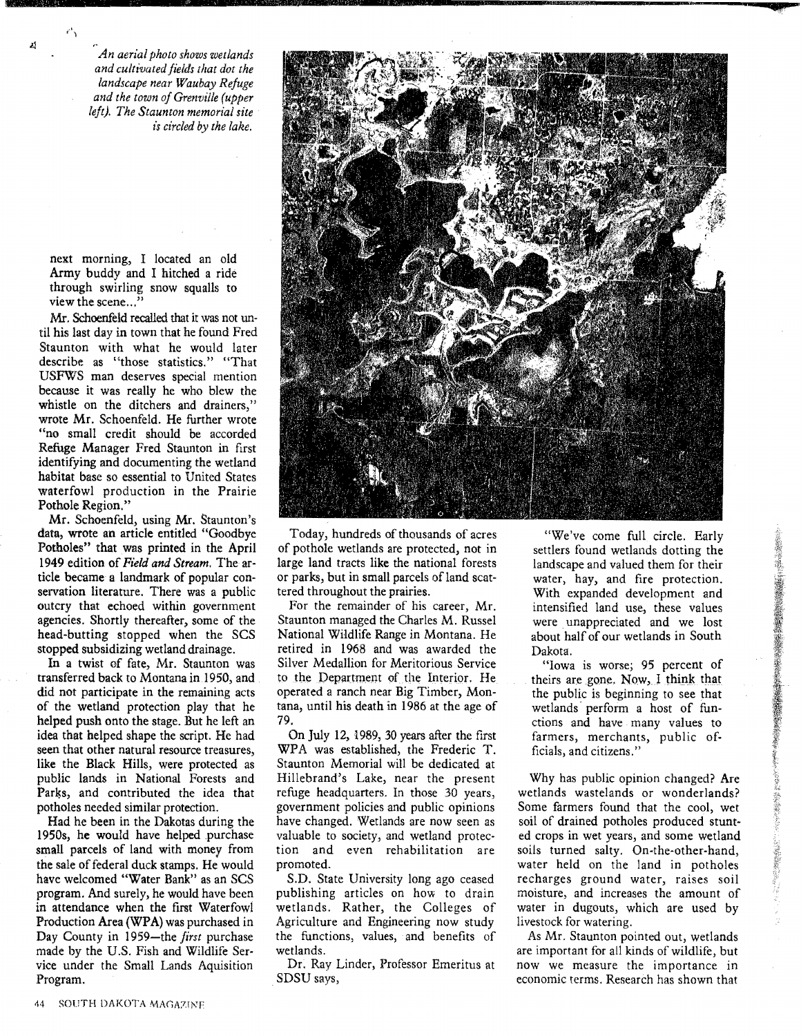,.,

r

J.l

*An aerial photo shows wetlands and cultivated fields [hat dot the landscape near Waubay Refuge and the town of Grenville (upper left). The Staunton memorial site is circled by the lake.* 

next morning, I located an old Army buddy and I hitched a ride through swirling snow squalls to view the scene..."

Mr. Schoenfeld recalled that it was not until his last day in town that he found Fred Staunton with what he would later describe as "those statistics." "That USF\VS man deserves special mention because it was really he who blew the whistle on the ditchers and drainers," wrote Mr. Schoenfeld. He further wrote "no small credit should be accorded Refuge Manager Fred Staunton in first identifying and documenting the wetland habitat base so essential to United States waterfowl production in the Prairie Pothole Region."

Mr. Schoenfeld, using Mr. Staunton's data, wrote an article entitled "Goodbye Potholes" that was printed in the April 1949 edition of *Field and Stream.* The article became a landmark of popular conservation literature. There was a public outcry that echoed within government agencies. Shortly thereafter, some of the head-butting stopped when the SCS stopped subsidizing wetland drainage.

In a twist of fate, Mr. Staunton was transferred back to Montana in 1950, and did not participate in the remaining acts of the wetland protection play that he helped push onto the stage. But he left an idea that helped shape the script. He had seen that other natural resource treasures, like the Black Hills, were protected as public lands in National Forests and Parks, and contributed the idea that potholes needed similar protection.

Had he been in the Dakotas during the 1950s, he would have helped purchase small parcels of land with money from the sale of federal duck stamps. He would have welcomed "Water Bank" as an SCS program. And surely, he would have been in attendance when the first Waterfowl Production Area (WPA) was purchased in Day County in 1959-the *first* purchase made by the U.S. Fish and Wildlife Service under the Small Lands Aquisition Program.



Today, hundreds of thousands of acres of pothole wetlands are protected, not in large land tracts like the national forests or parks, but in small parcels of land scattered throughout the prairies.

For the remainder of his career, Mr. Staunton managed the Charles M. Russel National Wildlife Range in Montana. He retired in 1968 and was awarded the Silver Medallion for Meritorious Service to the Department of the Interior. He operated a ranch near Big Timber, Montana, until his death in 1986 at the age of 79.

On July 12, 1989, 30 years after the first WPA was established, the Frederic T. Staunton Memorial will be dedicated at Hillebrand's Lake, near the present refuge headquarters. In those 30 years, government policies and public opinions have changed. Wetlands are now seen as valuable to society, and wetland protection and even rehabilitation are promoted.

S.D. State University long ago ceased publishing articles on how to drain wetlands. Rather, the Colleges of Agriculture and Engineering now study the functions, values, and benefits of wetlands.

Dr. Ray Linder, Professor Emeritus at SDSU says,

"We've come full circle. Early settlers found wetlands dotting the landscape and valued them for their water, hay, and fire protection. With expanded development and intensified land use, these values were unappreciated and we lost about half of our wetlands in South Dakota.

"Iowa is worse; 95 percent of theirs are gone. Now, I think that the public is beginning to see that wetlands' perform a host of functions and have many values to farmers, merchants, public officials, and citizens."

Why has public opinion changed? Are wetlands wastelands or wonderlands? Some farmers found that the cool, wet soil of drained potholes produced stunted crops in wet years, and some wetland soils turned salty. On-the-other-hand, water held on the land in potholes recharges ground water, raises soil moisture, and increases the amount of water in dugouts, which are used by livestock for watering.

As Mr. Staunton pointed out, wetlands are important for all kinds of wildlife, but now we measure the importance in economic terms. Research has shown that

..